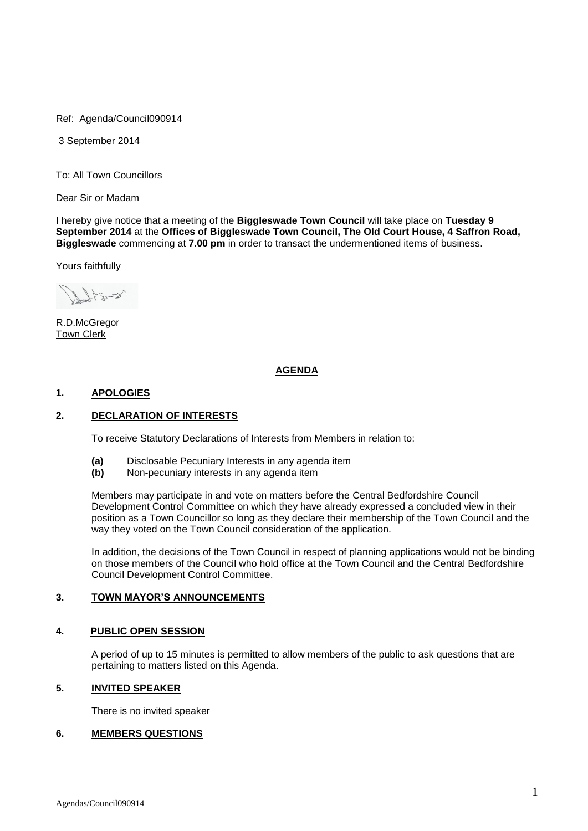Ref: Agenda/Council090914

3 September 2014

To: All Town Councillors

Dear Sir or Madam

I hereby give notice that a meeting of the **Biggleswade Town Council** will take place on **Tuesday 9 September 2014** at the **Offices of Biggleswade Town Council, The Old Court House, 4 Saffron Road, Biggleswade** commencing at **7.00 pm** in order to transact the undermentioned items of business.

Yours faithfully

Sugery

R.D.McGregor Town Clerk

# **AGENDA**

### **1. APOLOGIES**

# **2. DECLARATION OF INTERESTS**

To receive Statutory Declarations of Interests from Members in relation to:

- **(a)** Disclosable Pecuniary Interests in any agenda item
- **(b)** Non-pecuniary interests in any agenda item

Members may participate in and vote on matters before the Central Bedfordshire Council Development Control Committee on which they have already expressed a concluded view in their position as a Town Councillor so long as they declare their membership of the Town Council and the way they voted on the Town Council consideration of the application.

In addition, the decisions of the Town Council in respect of planning applications would not be binding on those members of the Council who hold office at the Town Council and the Central Bedfordshire Council Development Control Committee.

#### **3. TOWN MAYOR'S ANNOUNCEMENTS**

#### **4. PUBLIC OPEN SESSION**

A period of up to 15 minutes is permitted to allow members of the public to ask questions that are pertaining to matters listed on this Agenda.

# **5. INVITED SPEAKER**

There is no invited speaker

# **6. MEMBERS QUESTIONS**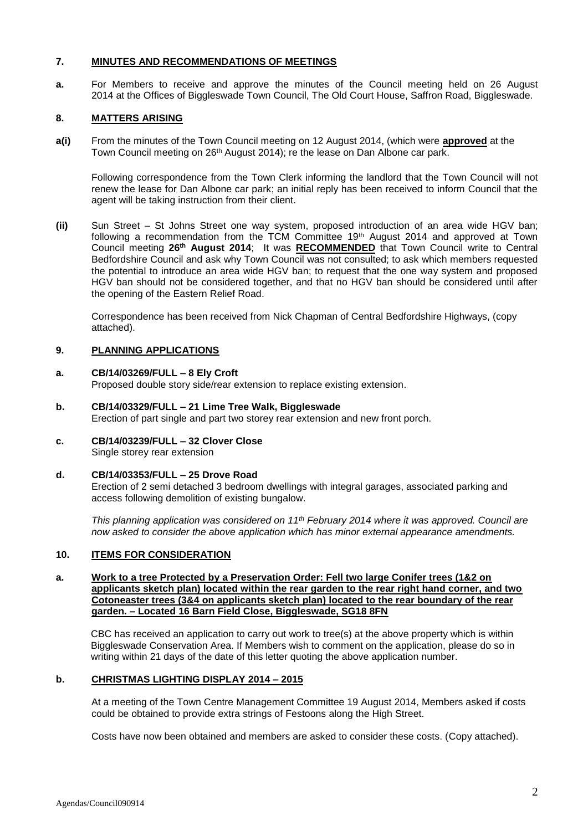# **7. MINUTES AND RECOMMENDATIONS OF MEETINGS**

**a.** For Members to receive and approve the minutes of the Council meeting held on 26 August 2014 at the Offices of Biggleswade Town Council, The Old Court House, Saffron Road, Biggleswade.

# **8. MATTERS ARISING**

**a(i)** From the minutes of the Town Council meeting on 12 August 2014, (which were **approved** at the Town Council meeting on 26<sup>th</sup> August 2014); re the lease on Dan Albone car park.

Following correspondence from the Town Clerk informing the landlord that the Town Council will not renew the lease for Dan Albone car park; an initial reply has been received to inform Council that the agent will be taking instruction from their client.

**(ii)** Sun Street – St Johns Street one way system, proposed introduction of an area wide HGV ban; following a recommendation from the TCM Committee 19<sup>th</sup> August 2014 and approved at Town Council meeting **26th August 2014**; It was **RECOMMENDED** that Town Council write to Central Bedfordshire Council and ask why Town Council was not consulted; to ask which members requested the potential to introduce an area wide HGV ban; to request that the one way system and proposed HGV ban should not be considered together, and that no HGV ban should be considered until after the opening of the Eastern Relief Road.

Correspondence has been received from Nick Chapman of Central Bedfordshire Highways, (copy attached).

# **9. PLANNING APPLICATIONS**

#### **a. CB/14/03269/FULL – 8 Ely Croft**  Proposed double story side/rear extension to replace existing extension.

- **b. CB/14/03329/FULL – 21 Lime Tree Walk, Biggleswade** Erection of part single and part two storey rear extension and new front porch.
- **c. CB/14/03239/FULL – 32 Clover Close** Single storey rear extension

# **d. CB/14/03353/FULL – 25 Drove Road**

Erection of 2 semi detached 3 bedroom dwellings with integral garages, associated parking and access following demolition of existing bungalow.

*This planning application was considered on 11th February 2014 where it was approved. Council are now asked to consider the above application which has minor external appearance amendments.*

#### **10. ITEMS FOR CONSIDERATION**

#### **a. Work to a tree Protected by a Preservation Order: Fell two large Conifer trees (1&2 on applicants sketch plan) located within the rear garden to the rear right hand corner, and two Cotoneaster trees (3&4 on applicants sketch plan) located to the rear boundary of the rear garden. – Located 16 Barn Field Close, Biggleswade, SG18 8FN**

CBC has received an application to carry out work to tree(s) at the above property which is within Biggleswade Conservation Area. If Members wish to comment on the application, please do so in writing within 21 days of the date of this letter quoting the above application number.

### **b. CHRISTMAS LIGHTING DISPLAY 2014 – 2015**

At a meeting of the Town Centre Management Committee 19 August 2014, Members asked if costs could be obtained to provide extra strings of Festoons along the High Street.

Costs have now been obtained and members are asked to consider these costs. (Copy attached).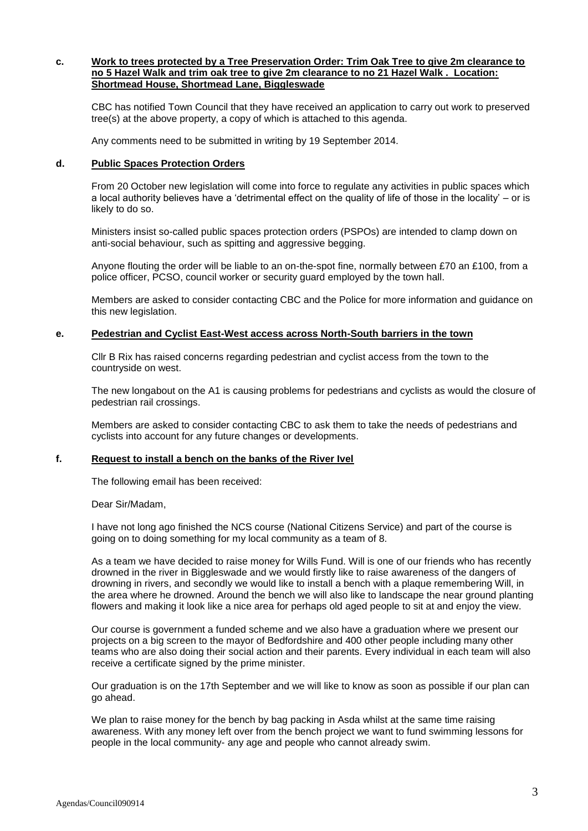#### **c. Work to trees protected by a Tree Preservation Order: Trim Oak Tree to give 2m clearance to no 5 Hazel Walk and trim oak tree to give 2m clearance to no 21 Hazel Walk . Location: Shortmead House, Shortmead Lane, Biggleswade**

CBC has notified Town Council that they have received an application to carry out work to preserved tree(s) at the above property, a copy of which is attached to this agenda.

Any comments need to be submitted in writing by 19 September 2014.

#### **d. Public Spaces Protection Orders**

From 20 October new legislation will come into force to regulate any activities in public spaces which a local authority believes have a 'detrimental effect on the quality of life of those in the locality' – or is likely to do so.

Ministers insist so-called public spaces protection orders (PSPOs) are intended to clamp down on anti-social behaviour, such as spitting and aggressive begging.

Anyone flouting the order will be liable to an on-the-spot fine, normally between £70 an £100, from a police officer, PCSO, council worker or security guard employed by the town hall.

Members are asked to consider contacting CBC and the Police for more information and guidance on this new legislation.

#### **e. Pedestrian and Cyclist East-West access across North-South barriers in the town**

Cllr B Rix has raised concerns regarding pedestrian and cyclist access from the town to the countryside on west.

The new longabout on the A1 is causing problems for pedestrians and cyclists as would the closure of pedestrian rail crossings.

Members are asked to consider contacting CBC to ask them to take the needs of pedestrians and cyclists into account for any future changes or developments.

# **f. Request to install a bench on the banks of the River Ivel**

The following email has been received:

Dear Sir/Madam,

I have not long ago finished the NCS course (National Citizens Service) and part of the course is going on to doing something for my local community as a team of 8.

As a team we have decided to raise money for Wills Fund. Will is one of our friends who has recently drowned in the river in Biggleswade and we would firstly like to raise awareness of the dangers of drowning in rivers, and secondly we would like to install a bench with a plaque remembering Will, in the area where he drowned. Around the bench we will also like to landscape the near ground planting flowers and making it look like a nice area for perhaps old aged people to sit at and enjoy the view.

Our course is government a funded scheme and we also have a graduation where we present our projects on a big screen to the mayor of Bedfordshire and 400 other people including many other teams who are also doing their social action and their parents. Every individual in each team will also receive a certificate signed by the prime minister.

Our graduation is on the 17th September and we will like to know as soon as possible if our plan can go ahead.

We plan to raise money for the bench by bag packing in Asda whilst at the same time raising awareness. With any money left over from the bench project we want to fund swimming lessons for people in the local community- any age and people who cannot already swim.